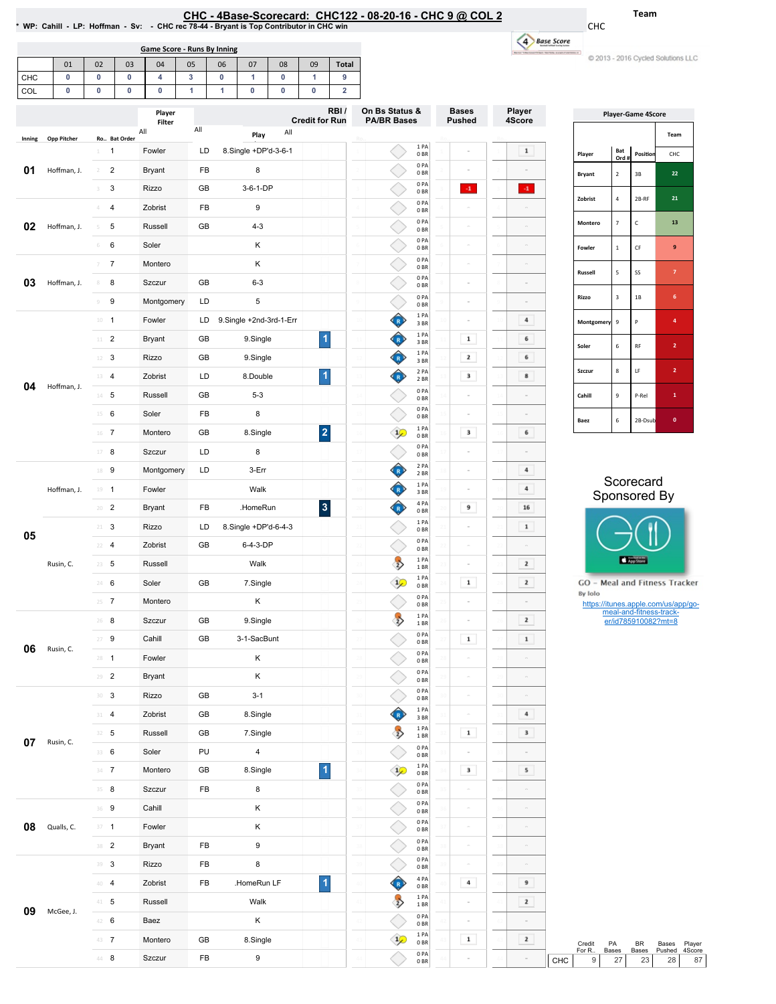## EHC-4Base-Scorecard: CHC122 - 08-20-16 - CHC 9 @ COL2 \* WP: Cahill - LP: Hoffman - Sv: - CHC rec 78-44-Bryant is Top Contributor in CHC win

€ ↘ 1PA 0BR 0PA 0BR 0PA 0BR

Bases Pushed

 $\sim$ 

 $\sim$  $\langle 4 \rangle$  Ro..

Team

CHC

| Game Score - Runs By Inning |    |    |    |                  |    |    |    |    |                       |              |  |
|-----------------------------|----|----|----|------------------|----|----|----|----|-----------------------|--------------|--|
|                             | 01 | 02 | 03 | 04               | 05 | 06 | 07 | 08 | 09                    | <b>Total</b> |  |
| <b>CHC</b>                  | 0  | 0  | 0  | 4                | 3  | 0  |    | 0  |                       | 9            |  |
| COL                         | 0  | 0  | 0  | 0                |    |    | 0  | 0  | 0                     |              |  |
|                             |    |    |    | Player<br>Filter |    |    |    |    | <b>Credit for Run</b> | RBI/         |  |

1 1 Fowler LD 8.Single+DP'd-3-6-1 2 Bryant FB 8 3 3 Rizzo GB 3-6-1-DP

All Play All

Filter All

Inning Opp Pitcher Ro.. Bat Order

**01** Hoffman, J. 2

|                  | 4 Base Score | $m = 1$           |                         |                           |                                    |
|------------------|--------------|-------------------|-------------------------|---------------------------|------------------------------------|
|                  |              |                   |                         |                           | C 2013 - 2016 Cycled Solutions LLC |
|                  |              |                   |                         |                           |                                    |
| Player<br>4Score |              |                   |                         | <b>Player-Game 4Score</b> |                                    |
|                  |              |                   |                         |                           | Team                               |
| $\mathbf{1}$     |              | Player            | Bat<br>Ord#             | Position                  | CHC                                |
|                  |              | <b>Bryant</b>     | $\overline{2}$          | 3B                        | 22                                 |
| $\cdot 1$        |              | Zobrist           | 4                       | 2B-RF                     | 21                                 |
|                  |              | Montero           | 7                       | C                         | 13                                 |
|                  |              | Fowler            | $\mathbf{1}$            | CF                        | 9                                  |
|                  |              | Russell           | 5                       | SS                        | $\overline{7}$                     |
|                  |              | Rizzo             | $\overline{\mathbf{3}}$ | 1B                        | 6                                  |
| 4                |              | <b>Montgomery</b> | 9                       | P                         | 4                                  |
| 6                |              | Soler             | 6                       | <b>RF</b>                 | $\overline{\mathbf{2}}$            |
| 6                |              | Szczur            | 8                       | LF                        | $\overline{\mathbf{2}}$            |
| 8                |              |                   |                         |                           |                                    |
|                  |              | Cahill            | 9                       | P-Rel                     | $\mathbf{1}$                       |
|                  |              |                   |                         |                           |                                    |



|                   |             | $\Delta$        | $\overline{4}$ | Zobrist       | FB         | 9                       |                         |                |                            | 0 PA<br>$0\,\mathrm{BR}$ |                |                         |                           |                         |                |                                                |                               |    |  |  |
|-------------------|-------------|-----------------|----------------|---------------|------------|-------------------------|-------------------------|----------------|----------------------------|--------------------------|----------------|-------------------------|---------------------------|-------------------------|----------------|------------------------------------------------|-------------------------------|----|--|--|
| 02                | Hoffman, J. | 5               | 5              | Russell       | GB         | $4 - 3$                 |                         |                |                            | 0PA<br>0BR               | $\sim$         | $\circ$                 |                           | Montero                 | $\overline{7}$ | $\mathsf{C}$                                   | 13                            |    |  |  |
|                   |             | 6               | 6              | Soler         |            | К                       |                         |                |                            | 0PA<br>0BR               | $\overline{a}$ | $\circ$                 |                           | Fowler                  | $\mathbf 1$    | $\mathsf{CF}$                                  | $\boldsymbol{9}$              |    |  |  |
|                   |             | $7-7$           |                | Montero       |            | К                       |                         |                |                            | 0PA<br>0BR               | $\sim$         | $\sim$                  |                           |                         |                |                                                |                               |    |  |  |
| 03<br>Hoffman, J. | 8           | 8               | Szczur         | GB            | $6 - 3$    |                         |                         |                | 0PA<br>0 <sub>BR</sub>     | $\sim$                   | $\circ$        |                         | Russell                   | ${\sf 5}$               | SS             | $\mathbf{7}$                                   |                               |    |  |  |
|                   | $\,9$       | 9               | Montgomery     | LD            | 5          |                         |                         |                | 0PA<br>0BR                 | $\sim$                   | $\sim$         |                         | Rizzo                     | $\overline{\mathbf{3}}$ | $1\mathrm{B}$  | $\,$ 6 $\,$                                    |                               |    |  |  |
|                   |             | $10 - 1$        |                | Fowler        | LD         | 9.Single +2nd-3rd-1-Err |                         |                | ♦                          | 1 PA<br>3 BR             | $\sim$         | $\bf{4}$                |                           | Montgomery 9            |                | P                                              | $\mathbf{4}$                  |    |  |  |
|                   |             | $11$ – $2$      |                | <b>Bryant</b> | GB         | 9.Single                | $\vert$                 |                | O                          | 1 PA<br>3BR              | $\mathbf 1$    | 6                       |                           | Soler                   | 6              | RF                                             | $\mathbf{2}$                  |    |  |  |
|                   |             | $12 - 3$        |                | Rizzo         | GB         | 9.Single                |                         |                | O                          | 1 PA<br>3BR              | $\mathbf{z}$   | 6                       |                           |                         |                |                                                |                               |    |  |  |
|                   |             | $13 - 4$        |                | Zobrist       | LD         | 8.Double                | $\vert$                 |                | $\left( \mathbb{R}\right)$ | 2 PA<br>2BR              | $\mathbf 3$    | $\bf{8}$                |                           | Szczur                  | $\bf 8$        | LF                                             | $\mathbf{2}$                  |    |  |  |
| 04                | Hoffman, J. | $14 - 5$        |                | Russell       | GB         | $5 - 3$                 |                         |                |                            | 0PA<br>0 <sub>BR</sub>   |                |                         |                           | Cahill                  | $\mathsf g$    | P-Rel                                          | $\mathbf{1}$                  |    |  |  |
|                   |             | $15 \t 6$       |                | Soler         | FB         | 8                       |                         |                |                            | 0PA<br>0 <sub>BR</sub>   |                |                         |                           | Baez                    | $\,$ 6 $\,$    | 2B-Dsub                                        | $\mathbf{0}$                  |    |  |  |
|                   |             | $16$ 7          |                | Montero       | GB         | 8.Single                | $\overline{\mathbf{2}}$ |                | $\mathcal{P}$              | 1 PA<br>0 <sub>BR</sub>  | $\mathbf{3}$   | 6                       |                           |                         |                |                                                |                               |    |  |  |
|                   |             | $17 - 8$        |                | Szczur        | LD         | 8                       |                         |                |                            | 0PA<br>0 <sub>BR</sub>   |                |                         |                           |                         |                |                                                |                               |    |  |  |
|                   |             | 18 9            |                | Montgomery    | LD         | 3-Err                   |                         |                | Ô                          | 2 PA<br>2 BR             |                | $\bf{4}$                |                           |                         |                |                                                |                               |    |  |  |
|                   | Hoffman, J. | $19 - 1$        |                | Fowler        |            | Walk                    |                         |                | O                          | 1 PA<br>3BR              |                | $\bf{4}$                | Scorecard<br>Sponsored By |                         |                |                                                |                               |    |  |  |
|                   |             | $20 - 2$        |                | <b>Bryant</b> | FB         | .HomeRun                | $\vert 3 \vert$         |                | $\mathbb{R}$               | 4 PA<br>0 <sub>BR</sub>  | 9              | 16                      |                           |                         |                |                                                |                               |    |  |  |
| 05<br>Rusin, C.   |             | $21 - 3$        |                | Rizzo         | LD         | 8.Single +DP'd-6-4-3    |                         |                |                            | 1 PA<br>0BR              |                | $\mathbf 1$             |                           |                         |                |                                                |                               |    |  |  |
|                   |             | $22 - 4$        |                | Zobrist       | GB         | 6-4-3-DP                |                         |                |                            | 0PA<br>0BR               | $\sim$         |                         |                           |                         |                |                                                |                               |    |  |  |
|                   |             | $23 - 5$        |                | Russell       |            | Walk                    |                         |                | $\rightarrow$              | 1 PA<br>1 BR             | $\sim$         | $\overline{\mathbf{z}}$ |                           |                         |                | App Store                                      |                               |    |  |  |
|                   |             | $24 - 6$        |                | Soler         | GB         | 7.Single                |                         |                | $\frac{1}{2}$              | 1 PA<br>0BR              | $\mathbf 1$    | $\mathbf{z}$            |                           |                         |                |                                                | GO - Meal and Fitness Tracker |    |  |  |
|                   | $25 \t 7$   |                 | Montero        |               | Κ          |                         |                         |                | 0PA<br>0 <sub>BR</sub>     |                          |                |                         | By Iolo                   |                         |                | https://itunes.apple.com/us/app/go-            |                               |    |  |  |
|                   |             | $26 - 8$        |                | Szczur        | GB         | 9.Single                |                         |                | $\rightarrow$              | 1PA<br>1 BR              |                | $\mathbf{z}$            |                           |                         |                | meal-and-fitness-track-<br>er/id785910082?mt=8 |                               |    |  |  |
|                   |             | $27 - 9$        |                | Cahill        | GB         | 3-1-SacBunt             |                         |                |                            | 0PA<br>0 <sub>BR</sub>   | $\mathbf 1$    | $\mathbf 1$             |                           |                         |                |                                                |                               |    |  |  |
| 06                | Rusin, C.   | $28 - 1$        |                | Fowler        |            | Κ                       |                         |                |                            | 0PA<br>0BR               |                | $\sim$                  |                           |                         |                |                                                |                               |    |  |  |
|                   |             | $29 - 2$        |                | <b>Bryant</b> |            | К                       |                         |                |                            | 0PA<br>0BR               | $\sim$         |                         |                           |                         |                |                                                |                               |    |  |  |
|                   |             | 30 <sup>3</sup> |                | Rizzo         | GB         | $3 - 1$                 |                         |                |                            | 0PA<br>0BR               | $\alpha$       | $\equiv$                |                           |                         |                |                                                |                               |    |  |  |
|                   |             | $31 - 4$        |                | Zobrist       | GB         | 8.Single                |                         |                | Œ                          | 1 PA<br>3 BR             |                | 4                       |                           |                         |                |                                                |                               |    |  |  |
| 07                | Rusin, C.   | $32 - 5$        |                | Russell       | GB         | 7.Single                |                         |                | $\rightarrow$              | 1 PA<br>1 BR             | $\mathbf 1$    | $\mathbf 3$             |                           |                         |                |                                                |                               |    |  |  |
|                   |             | 33 6            |                | Soler         | PU         | 4                       |                         |                |                            | 0PA<br>0 <sub>BR</sub>   |                |                         |                           |                         |                |                                                |                               |    |  |  |
|                   |             | $34 - 7$        |                | Montero       | ${\sf GB}$ | 8.Single                | $\vert$                 |                | $\frac{1}{2}$              | 1PA<br>0 BR              | 3              | 5                       |                           |                         |                |                                                |                               |    |  |  |
|                   |             | $35 - 8$        |                | Szczur        | FB         | 8                       |                         |                |                            | 0PA<br>$0\,\mathrm{BR}$  | $\sim$         | $\circ$                 |                           |                         |                |                                                |                               |    |  |  |
|                   |             | $36$ 9          |                | Cahill        |            | К                       |                         |                |                            | 0PA<br>0BR               | $\equiv$       | $\equiv$                |                           |                         |                |                                                |                               |    |  |  |
| 08                | Qualls, C.  | $37 - 1$        |                | Fowler        |            | Κ                       |                         |                |                            | 0PA<br>$0\,\mathrm{BR}$  | $\alpha$       | $\sim$                  |                           |                         |                |                                                |                               |    |  |  |
|                   |             | 38 <sup>2</sup> |                | Bryant        | FB         | 9                       |                         |                |                            | 0PA<br>0B                | $\sim$         | $\sim$                  |                           |                         |                |                                                |                               |    |  |  |
|                   |             | 39 <sup>3</sup> |                | Rizzo         | FB         | 8                       |                         | $\mathbb{R}^3$ |                            | 0PA<br>0BR               | $\alpha$       | $\alpha$                |                           |                         |                |                                                |                               |    |  |  |
|                   |             | $40 - 4$        |                | Zobrist       | FB         | .HomeRun LF             | $\vert$                 | $\Delta$       | ♥                          | 4 PA<br>0B               | $\,$ 4 $\,$    | 9                       |                           |                         |                |                                                |                               |    |  |  |
| 09                | McGee, J.   | $41-5$          |                | Russell       |            | Walk                    |                         | $\overline{A}$ | $\rightarrow$              | 1PA<br>1 BR              |                | $\mathbf{z}$            |                           |                         |                |                                                |                               |    |  |  |
|                   |             | 42 6            |                | Baez          |            | Κ                       |                         |                |                            | 0PA<br>0 <sub>BR</sub>   |                |                         |                           |                         |                |                                                |                               |    |  |  |
|                   |             | 43 7            |                | Montero       | GB         | 8.Single                |                         | 43             | $\mathcal{P}$              | 1 PA<br>$0\;\mathrm{BR}$ | $\mathbf 1$    | $\mathbf{z}$            |                           | Credit                  | PA             | BR                                             | Bases<br>Player<br>4Score     |    |  |  |
|                   |             | $44 - 8$        |                | Szczur        | FB         | 9                       |                         | $\Delta t$     |                            | 0PA<br>$0\;\mathrm{BR}$  |                |                         | CHC                       | For R<br>9              | Bases<br>27    | Bases<br>23                                    | Pushed<br>28                  | 87 |  |  |
|                   |             |                 |                |               |            |                         |                         |                |                            |                          |                |                         |                           |                         |                |                                                |                               |    |  |  |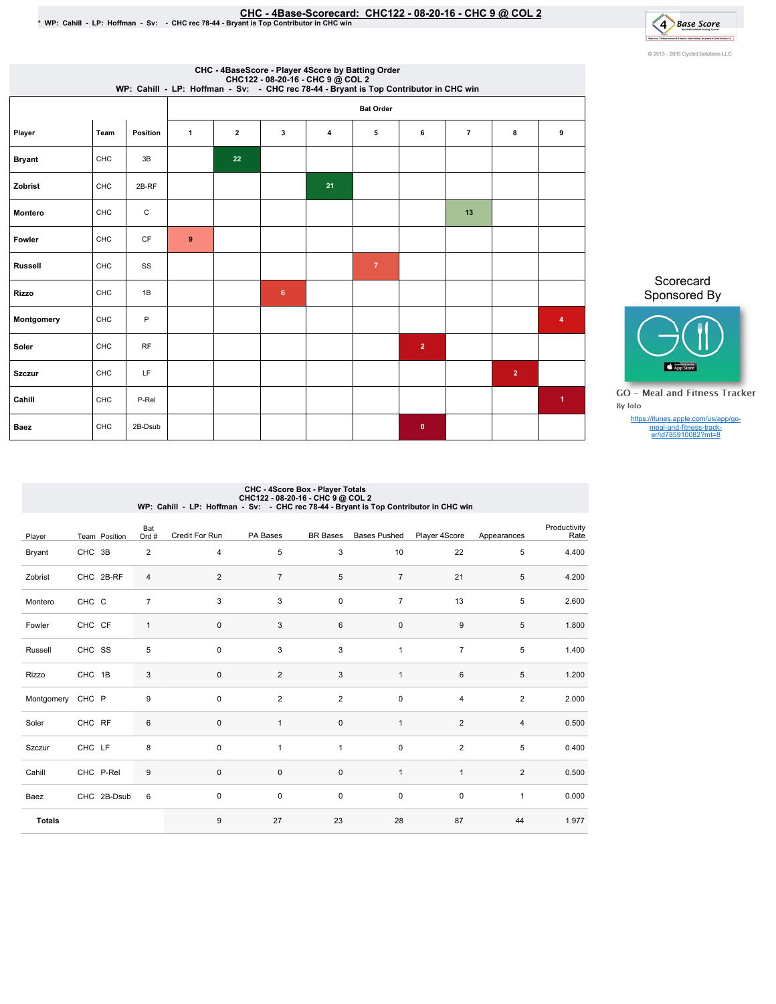## EHC - 4Base-Scorecard: CHC122 - 08-20-16 - CHC 9 @ COL 2 • WP: Cahill - LP: Hoffman - Sv: - CHCrec 78-44 - Bryant is Top Contributor in CHC win



| CHC - 4BaseScore - Player 4Score by Batting Order<br>CHC122 - 08-20-16 - CHC 9 @ COL 2<br>WP: Cahill - LP: Hoffman - Sv: - CHC rec 78-44 - Bryant is Top Contributor in CHC win |      |          |              |                         |                |    |                |                |                |                |                         |  |
|---------------------------------------------------------------------------------------------------------------------------------------------------------------------------------|------|----------|--------------|-------------------------|----------------|----|----------------|----------------|----------------|----------------|-------------------------|--|
| <b>Bat Order</b>                                                                                                                                                                |      |          |              |                         |                |    |                |                |                |                |                         |  |
| Player                                                                                                                                                                          | Team | Position | $\mathbf{1}$ | $\overline{\mathbf{2}}$ | 3              | 4  | 5              | 6              | $\overline{7}$ | 8              | 9                       |  |
| <b>Bryant</b>                                                                                                                                                                   | CHC  | 3B       |              | 22                      |                |    |                |                |                |                |                         |  |
| Zobrist                                                                                                                                                                         | CHC  | 2B-RF    |              |                         |                | 21 |                |                |                |                |                         |  |
| Montero                                                                                                                                                                         | CHC  | C        |              |                         |                |    |                |                | 13             |                |                         |  |
| Fowler                                                                                                                                                                          | CHC  | CF       | 9            |                         |                |    |                |                |                |                |                         |  |
| <b>Russell</b>                                                                                                                                                                  | CHC  | SS       |              |                         |                |    | $\overline{7}$ |                |                |                |                         |  |
| <b>Rizzo</b>                                                                                                                                                                    | CHC  | 1B       |              |                         | $6\phantom{a}$ |    |                |                |                |                |                         |  |
| Montgomery                                                                                                                                                                      | CHC  | P        |              |                         |                |    |                |                |                |                | $\overline{\mathbf{4}}$ |  |
| Soler                                                                                                                                                                           | CHC  | RF       |              |                         |                |    |                | $\overline{2}$ |                |                |                         |  |
| <b>Szczur</b>                                                                                                                                                                   | CHC  | LF       |              |                         |                |    |                |                |                | $\overline{2}$ |                         |  |
| Cahill                                                                                                                                                                          | CHC  | P-Rel    |              |                         |                |    |                |                |                |                | $\blacktriangleleft$    |  |
| <b>Baez</b>                                                                                                                                                                     | CHC  | 2B-Dsub  |              |                         |                |    |                | $\mathbf{0}$   |                |                |                         |  |

Scorecard Sponsored By



**GO** - Meal and Fitness Tracker By Iolo

https://itunes.apple.com/us/app/go-meal-and-fitness-track-er/id785910082?mt=8

## CHC - 4Score Box - Player Totals<br>CHC122 - 08-20-16 - CHC 9 @ COL 2<br>WP: Cahill - LP: Hoffman - Sv: - CHC rec 78-44 - Bryant is Top Contributor in CHC win

| Player        | Team Position | Bat<br>Ord #   | Credit For Run   | PA Bases       | <b>BR</b> Bases | <b>Bases Pushed</b> | Player 4Score    | Appearances    | Productivity<br>Rate |
|---------------|---------------|----------------|------------------|----------------|-----------------|---------------------|------------------|----------------|----------------------|
| Bryant        | CHC 3B        | $\overline{2}$ | $\overline{4}$   | 5              | 3               | 10                  | 22               | 5              | 4.400                |
| Zobrist       | CHC 2B-RF     | 4              | 2                | $\overline{7}$ | 5               | $\overline{7}$      | 21               | 5              | 4.200                |
| Montero       | CHC C         | $\overline{7}$ | 3                | 3              | $\pmb{0}$       | $\overline{7}$      | 13               | 5              | 2.600                |
| Fowler        | CHC CF        | $\mathbf{1}$   | $\pmb{0}$        | 3              | 6               | $\mathsf{O}\xspace$ | $\boldsymbol{9}$ | 5              | 1.800                |
| Russell       | CHC SS        | 5              | $\mathbf 0$      | 3              | 3               | $\mathbf{1}$        | $\overline{7}$   | 5              | 1.400                |
| Rizzo         | CHC 1B        | 3              | $\pmb{0}$        | $\overline{2}$ | 3               | $\mathbf{1}$        | 6                | 5              | 1.200                |
| Montgomery    | CHC P         | 9              | $\mathbf 0$      | $\overline{2}$ | $\overline{2}$  | 0                   | 4                | $\overline{2}$ | 2.000                |
| Soler         | CHC RF        | $\,6$          | $\pmb{0}$        | $\overline{1}$ | $\pmb{0}$       | $\mathbf{1}$        | $\overline{2}$   | $\overline{4}$ | 0.500                |
| Szczur        | CHC LF        | 8              | $\mathbf 0$      | $\mathbf{1}$   | $\mathbf{1}$    | $\mathbf 0$         | $\overline{2}$   | 5              | 0.400                |
| Cahill        | CHC P-Rel     | 9              | $\pmb{0}$        | $\pmb{0}$      | $\pmb{0}$       | $\mathbf{1}$        | $\mathbf{1}$     | $\overline{2}$ | 0.500                |
| Baez          | CHC 2B-Dsub   | 6              | $\pmb{0}$        | $\pmb{0}$      | $\pmb{0}$       | $\mathsf 0$         | $\pmb{0}$        | $\mathbf{1}$   | 0.000                |
| <b>Totals</b> |               |                | $\boldsymbol{9}$ | 27             | 23              | 28                  | 87               | 44             | 1.977                |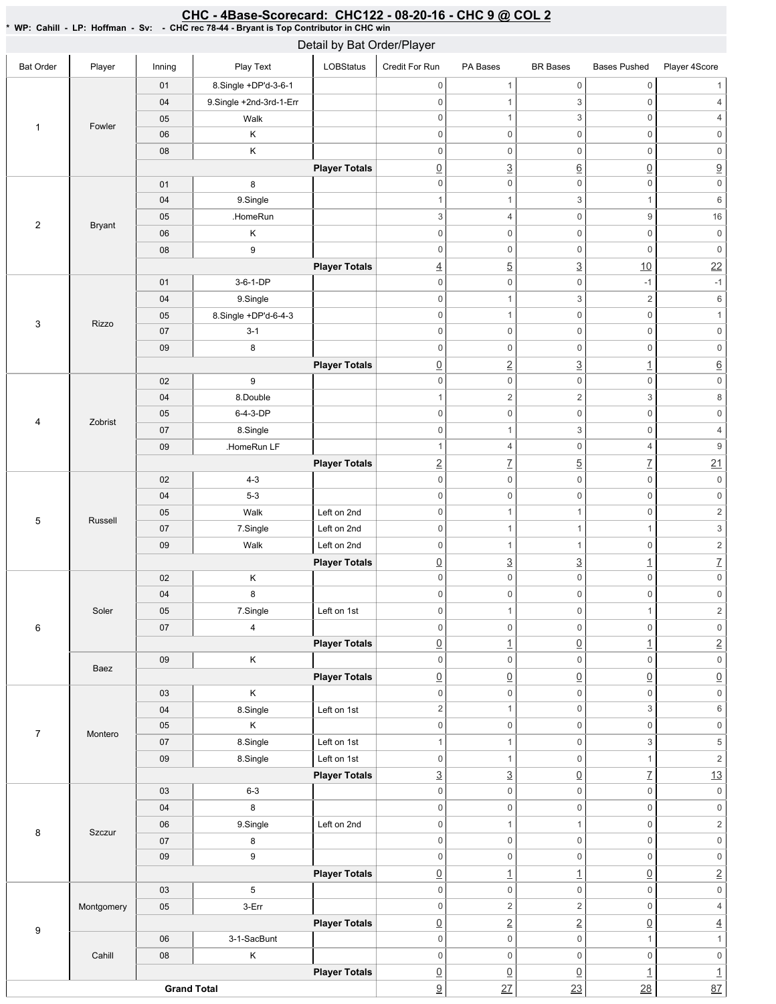## \* WP: Cahill-LP: Hoffman-Sv: -CHC rec 78-44 - Bryant is Top Contributor in CHC win Bat Order | Player | Inning | PlayText | LOBStatus Credit For Run PA Bases BR Bases Bases Pushed Player 4Score 1 | Fowler 01 8.Single +DP'd-3-6-1 04 9.Single +2nd-3rd-1-Err 05 | Walk 06 K 08 K **Player Totals** 2 Bryant 01 8 04 | 9.Single 05 .HomeRun 06 K 08 9 **Player Totals** 3 Rizzo 01 3-6-1-DP 04 9.Single 05 8.Single+DP'd-6-4-3 07 3-1 09 8 **Player Totals** 4 Zobrist 02 9 04 8.Double 05 6-4-3-DP 07 8.Single 09 .HomeRun LF **Player Totals** 5 Russell 02 4-3 04 5-3 05 | Walk Left on 2nd 07 | 7.Single | Left on 2nd 09 | Walk Left on 2nd **Player Totals** 6 Soler 02 K 04 8 05 | 7.Single | Left on 1st 07 4 **Player Totals** Baez 09 K **Player Totals** 7 Montero 03 K 04 8.Single Left on 1st 05 K 07 | 8.Single | Left on 1st 09 8.Single Left on 1st **Player Totals** 8 | Szczur 03 6-3 04 8 06 9.Single Left on 2nd 07 8 09 9 **Player Totals** 9 Montgomery 03 5 05 3-Err **Player Totals** Cahill 06 **3-1-SacBunt** 08 K **Player Totals Grand Total** 0 0 1 0 1 0 1 3 0 4 0 1 3 0 4 0 0 0 0 0 0 0 0 0 0 0 0 0 3 6 0 9 0 0 0 0 0 0 1 1 3 1 6  $3$  4 0 9 16 0 0 0 0 0 0 0 0 0 0 0 0  $\frac{4}{10}$  5 3 3 10 22 0 0 -1 -1 0 1 3 2 6 0 0 1 0 1 0 0 0 0 0 0 0 0 0 0 0 0 0 2 3 1 6 0 0 0 0 0 0 1  $2$  2 3 8 0 0 0 0 0 0 0 1 3 0 4 1 4 0 4 9  $\boxed{2}$   $\boxed{7}$   $\boxed{5}$   $\boxed{7}$   $\boxed{21}$ 0 0 0 0 0 0 0 0 0 0 0 0 0 1 1 0 2 0 1 1 1  $1$  3 0 1 1 0 2  $\boxed{0}$   $\boxed{3}$   $\boxed{1}$   $\boxed{7}$ 0 0 0 0 0 0 0 0 0 0 0 0 0 1 0 1 2 0 0 0 0 0 0  $\boxed{0}$  1  $\boxed{0}$  1  $\boxed{1}$  2 0 0 0 0 0 0  $\begin{array}{c|c|c|c|c|c} \hline \Omega & \Omega & \Omega & \Omega \end{array} \hspace{1.5cm} \begin{array}{c|c|c} \hline \Omega & \Omega & \Omega \end{array} \hspace{1.5cm} \begin{array}{c|c|c} \hline \Omega & \Omega & \Omega \end{array} \end{array}$ 0 0 0 0 0 0 2 1 0 3 6 0 0 0 0 0 0 1 1 0 3 5 0 1 0 1 2  $\frac{3}{2}$   $\frac{3}{2}$   $\frac{0}{7}$   $\frac{13}{2}$ 0 0 0 0 0 0 0 0 0 0 0 0 0 1 1 0 2 0 0 0 0 0 0 0 0 0 0 0 0  $\begin{array}{ccc} \boxed{0} & 1 & 1 & \boxed{1} & \boxed{0} & \boxed{2} \end{array}$ 0 0 0 0 0 0  $0 \qquad \qquad 2 \qquad \qquad 2 \qquad \qquad 0 \qquad \qquad 4$ 0 2 2 0 4  $0 \qquad 0 \qquad 0 \qquad 1 \qquad 1$ 0 0 0 0 0 0  $\boxed{0}$   $\boxed{0}$   $\boxed{1}$   $\boxed{1}$ <u>9</u> 27 23 28 37 Detail by Bat Order/Player

<u>CHC - 4Base-Scorecard: CHC122 - 08-20-16 - CHC 9 @ COL 2</u>